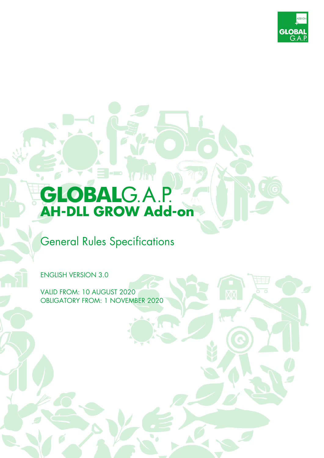

# **AH-DLL GROW Add-on**

# General Rules Specifications

ENGLISH VERSION 3.0

VALID FROM: 10 AUGUST 2020 OBLIGATORY FROM: 1 NOVEMBER 2020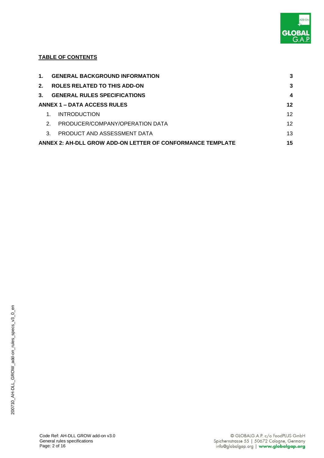

#### **TABLE OF CONTENTS**

| 1.            | <b>GENERAL BACKGROUND INFORMATION</b>                      | 3  |
|---------------|------------------------------------------------------------|----|
| $2^{\circ}$   | <b>ROLES RELATED TO THIS ADD-ON</b>                        | 3  |
| $\mathbf{3}$  | <b>GENERAL RULES SPECIFICATIONS</b>                        | 4  |
|               | ANNEX 1 - DATA ACCESS RULES                                | 12 |
|               | <b>INTRODUCTION</b>                                        | 12 |
| $\mathcal{P}$ | PRODUCER/COMPANY/OPERATION DATA                            | 12 |
| $\mathcal{R}$ | PRODUCT AND ASSESSMENT DATA                                | 13 |
|               | ANNEX 2: AH-DLL GROW ADD-ON LETTER OF CONFORMANCE TEMPLATE | 15 |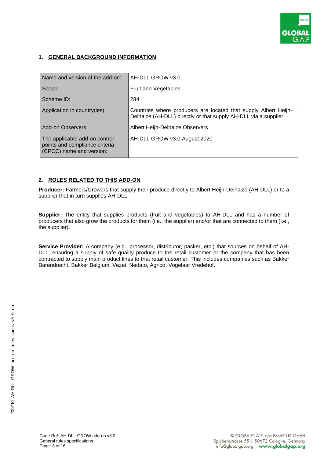

#### **1. GENERAL BACKGROUND INFORMATION**

| Name and version of the add-on:                                                             | AH-DLL GROW v3.0                                                                                                                   |
|---------------------------------------------------------------------------------------------|------------------------------------------------------------------------------------------------------------------------------------|
| Scope:                                                                                      | Fruit and Vegetables                                                                                                               |
| Scheme ID:                                                                                  | 284                                                                                                                                |
| Application in country(ies):                                                                | Countries where producers are located that supply Albert Heijn-<br>Delhaize (AH-DLL) directly or that supply AH-DLL via a supplier |
| Add-on Observers:                                                                           | Albert Heijn-Delhaize Observers                                                                                                    |
| The applicable add-on control<br>points and compliance criteria<br>(CPCC) name and version: | AH-DLL GROW v3.0 August 2020                                                                                                       |

#### **2. ROLES RELATED TO THIS ADD-ON**

Producer: Farmers/Growers that supply their produce directly to Albert Heijn-Delhaize (AH-DLL) or to a supplier that in turn supplies AH-DLL.

**Supplier:** The entity that supplies products (fruit and vegetables) to AH-DLL and has a number of producers that also grow the products for them (i.e., the supplier) and/or that are connected to them (i.e., the supplier).

**Service Provider:** A company (e.g., processor, distributor, packer, etc.) that sources on behalf of AH-DLL, ensuring a supply of safe quality produce to the retail customer or the company that has been contracted to supply main product lines to that retail customer. This includes companies such as Bakker Barendrecht, Bakker Belgium, Vezet, Nedato, Agrico, Vogelaar Vredehof.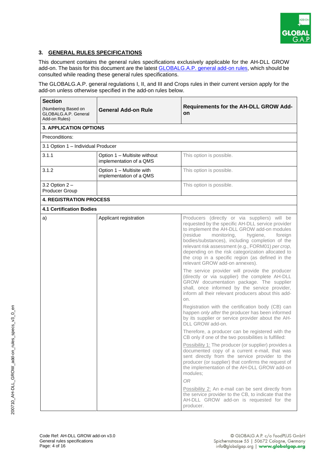

#### **3. GENERAL RULES SPECIFICATIONS**

This document contains the general rules specifications exclusively applicable for the AH-DLL GROW add-on. The basis for this document are the latest **GLOBALG.A.P.** general add-on rules, which should be consulted while reading these general rules specifications.

The GLOBALG.A.P. general regulations I, II, and III and Crops rules in their current version apply for the add-on unless otherwise specified in the add-on rules below.

| <b>Section</b>                                               |                                                         |                                                                                                                                                                                                                                                                                                                                                                                                                                                        |  |
|--------------------------------------------------------------|---------------------------------------------------------|--------------------------------------------------------------------------------------------------------------------------------------------------------------------------------------------------------------------------------------------------------------------------------------------------------------------------------------------------------------------------------------------------------------------------------------------------------|--|
| (Numbering Based on<br>GLOBALG.A.P. General<br>Add-on Rules) | <b>General Add-on Rule</b>                              | <b>Requirements for the AH-DLL GROW Add-</b><br><b>on</b>                                                                                                                                                                                                                                                                                                                                                                                              |  |
| <b>3. APPLICATION OPTIONS</b>                                |                                                         |                                                                                                                                                                                                                                                                                                                                                                                                                                                        |  |
| Preconditions:                                               |                                                         |                                                                                                                                                                                                                                                                                                                                                                                                                                                        |  |
| 3.1 Option 1 - Individual Producer                           |                                                         |                                                                                                                                                                                                                                                                                                                                                                                                                                                        |  |
| 3.1.1                                                        | Option 1 - Multisite without<br>implementation of a QMS | This option is possible.                                                                                                                                                                                                                                                                                                                                                                                                                               |  |
| 3.1.2                                                        | Option 1 - Multisite with<br>implementation of a QMS    | This option is possible.                                                                                                                                                                                                                                                                                                                                                                                                                               |  |
| 3.2 Option 2 -<br>Producer Group                             |                                                         | This option is possible.                                                                                                                                                                                                                                                                                                                                                                                                                               |  |
| <b>4. REGISTRATION PROCESS</b>                               |                                                         |                                                                                                                                                                                                                                                                                                                                                                                                                                                        |  |
| <b>4.1 Certification Bodies</b>                              |                                                         |                                                                                                                                                                                                                                                                                                                                                                                                                                                        |  |
| a)                                                           | Applicant registration                                  | Producers (directly or via suppliers) will be<br>requested by the specific AH-DLL service provider<br>to implement the AH-DLL GROW add-on modules<br>(residue<br>monitoring,<br>hygiene,<br>foreign<br>bodies/substances), including completion of the<br>relevant risk assessment (e.g., FORM01) per crop,<br>depending on the risk categorization allocated to<br>the crop in a specific region (as defined in the<br>relevant GROW add-on annexes). |  |
|                                                              |                                                         | The service provider will provide the producer<br>(directly or via supplier) the complete AH-DLL<br>GROW documentation package. The supplier<br>shall, once informed by the service provider,<br>inform all their relevant producers about this add-<br>on.<br>Registration with the certification body (CB) can<br>happen only after the producer has been informed<br>by its supplier or service provider about the AH-<br>DLL GROW add-on.          |  |
|                                                              |                                                         | Therefore, a producer can be registered with the<br>CB only if one of the two possibilities is fulfilled:                                                                                                                                                                                                                                                                                                                                              |  |
|                                                              |                                                         | Possibility 1: The producer (or supplier) provides a<br>documented copy of a current e-mail, that was<br>sent directly from the service provider to the<br>producer (or supplier) that confirms the request of<br>the implementation of the AH-DLL GROW add-on<br>modules;                                                                                                                                                                             |  |
|                                                              |                                                         | <b>OR</b>                                                                                                                                                                                                                                                                                                                                                                                                                                              |  |
|                                                              |                                                         | Possibility 2: An e-mail can be sent directly from<br>the service provider to the CB, to indicate that the<br>AH-DLL GROW add-on is requested for the<br>producer.                                                                                                                                                                                                                                                                                     |  |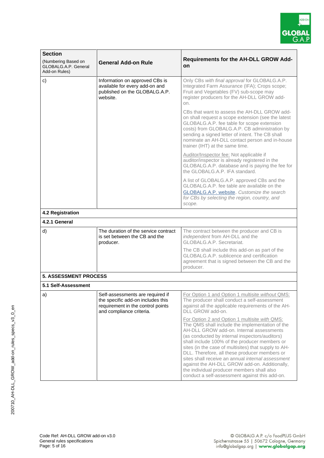

| <b>Section</b>                                               |                                                                                                                                        |                                                                                                                                                                                                                                                                                                                                                                                                                                                                                                                                                                |
|--------------------------------------------------------------|----------------------------------------------------------------------------------------------------------------------------------------|----------------------------------------------------------------------------------------------------------------------------------------------------------------------------------------------------------------------------------------------------------------------------------------------------------------------------------------------------------------------------------------------------------------------------------------------------------------------------------------------------------------------------------------------------------------|
| (Numbering Based on<br>GLOBALG.A.P. General<br>Add-on Rules) | <b>General Add-on Rule</b>                                                                                                             | <b>Requirements for the AH-DLL GROW Add-</b><br>on                                                                                                                                                                                                                                                                                                                                                                                                                                                                                                             |
| c)                                                           | Information on approved CBs is<br>available for every add-on and<br>published on the GLOBALG.A.P.<br>website.                          | Only CBs with final approval for GLOBALG.A.P.<br>Integrated Farm Assurance (IFA); Crops scope;<br>Fruit and Vegetables (FV) sub-scope may<br>register producers for the AH-DLL GROW add-<br>on.                                                                                                                                                                                                                                                                                                                                                                |
|                                                              |                                                                                                                                        | CBs that want to assess the AH-DLL GROW add-<br>on shall request a scope extension (see the latest<br>GLOBALG.A.P. fee table for scope extension<br>costs) from GLOBALG.A.P. CB administration by<br>sending a signed letter of intent. The CB shall<br>nominate an AH-DLL contact person and in-house<br>trainer (IHT) at the same time.                                                                                                                                                                                                                      |
|                                                              |                                                                                                                                        | Auditor/Inspector fee: Not applicable if<br>auditor/inspector is already registered in the<br>GLOBALG.A.P. database and is paying the fee for<br>the GLOBALG.A.P. IFA standard.                                                                                                                                                                                                                                                                                                                                                                                |
|                                                              |                                                                                                                                        | A list of GLOBALG.A.P. approved CBs and the<br>GLOBALG.A.P. fee table are available on the<br><b>GLOBALG.A.P. website.</b> Customize the search<br>for CBs by selecting the region, country, and<br>scope.                                                                                                                                                                                                                                                                                                                                                     |
| 4.2 Registration                                             |                                                                                                                                        |                                                                                                                                                                                                                                                                                                                                                                                                                                                                                                                                                                |
| 4.2.1 General                                                |                                                                                                                                        |                                                                                                                                                                                                                                                                                                                                                                                                                                                                                                                                                                |
| d)                                                           | The duration of the service contract<br>is set between the CB and the<br>producer.                                                     | The contract between the producer and CB is<br>independent from AH-DLL and the<br>GLOBALG.A.P. Secretariat.                                                                                                                                                                                                                                                                                                                                                                                                                                                    |
|                                                              |                                                                                                                                        | The CB shall include this add-on as part of the<br>GLOBALG.A.P. sublicence and certification<br>agreement that is signed between the CB and the<br>producer.                                                                                                                                                                                                                                                                                                                                                                                                   |
| <b>5. ASSESSMENT PROCESS</b>                                 |                                                                                                                                        |                                                                                                                                                                                                                                                                                                                                                                                                                                                                                                                                                                |
| 5.1 Self-Assessment                                          |                                                                                                                                        |                                                                                                                                                                                                                                                                                                                                                                                                                                                                                                                                                                |
| a)                                                           | Self-assessments are required if<br>the specific add-on includes this<br>requirement in the control points<br>and compliance criteria. | For Option 1 and Option 1 multisite without QMS:<br>The producer shall conduct a self-assessment<br>against all the applicable requirements of the AH-<br>DLL GROW add-on.                                                                                                                                                                                                                                                                                                                                                                                     |
|                                                              |                                                                                                                                        | For Option 2 and Option 1 multisite with QMS:<br>The QMS shall include the implementation of the<br>AH-DLL GROW add-on. Internal assessments<br>(as conducted by internal inspectors/auditors)<br>shall include 100% of the producer members or<br>sites (in the case of multisites) that supply to AH-<br>DLL. Therefore, all these producer members or<br>sites shall receive an annual internal assessment<br>against the AH-DLL GROW add-on. Additionally,<br>the individual producer members shall also<br>conduct a self-assessment against this add-on. |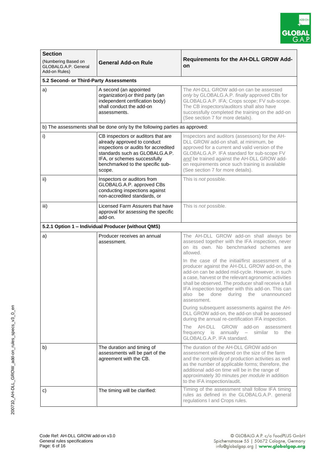

| <b>Section</b>                                                                             |                                                                                                                                                                                                                           |                                                                                                                                                                                                                                                                                                                                            |  |  |
|--------------------------------------------------------------------------------------------|---------------------------------------------------------------------------------------------------------------------------------------------------------------------------------------------------------------------------|--------------------------------------------------------------------------------------------------------------------------------------------------------------------------------------------------------------------------------------------------------------------------------------------------------------------------------------------|--|--|
| (Numbering Based on<br><b>General Add-on Rule</b><br>GLOBALG.A.P. General<br>Add-on Rules) |                                                                                                                                                                                                                           | <b>Requirements for the AH-DLL GROW Add-</b><br>on                                                                                                                                                                                                                                                                                         |  |  |
| 5.2 Second- or Third-Party Assessments                                                     |                                                                                                                                                                                                                           |                                                                                                                                                                                                                                                                                                                                            |  |  |
| a)                                                                                         | A second (an appointed<br>organization)-or third party (an<br>independent certification body)<br>shall conduct the add-on<br>assessments.                                                                                 | The AH-DLL GROW add-on can be assessed<br>only by GLOBALG.A.P. finally approved CBs for<br>GLOBALG.A.P. IFA; Crops scope; FV sub-scope.<br>The CB inspectors/auditors shall also have<br>successfully completed the training on the add-on<br>(See section 7 for more details).                                                            |  |  |
|                                                                                            | b) The assessments shall be done only by the following parties as approved:                                                                                                                                               |                                                                                                                                                                                                                                                                                                                                            |  |  |
| i)                                                                                         | CB inspectors or auditors that are<br>already approved to conduct<br>inspections or audits for accredited<br>standards such as GLOBALG.A.P.<br>IFA, or schemes successfully<br>benchmarked to the specific sub-<br>scope. | Inspectors and auditors (assessors) for the AH-<br>DLL GROW add-on shall, at minimum, be<br>approved for a current and valid version of the<br>GLOBALG.A.P. IFA standard for sub-scope FV<br>and be trained against the AH-DLL GROW add-<br>on requirements once such training is available<br>(See section 7 for more details).           |  |  |
| ii)                                                                                        | Inspectors or auditors from<br>GLOBALG.A.P. approved CBs<br>conducting inspections against<br>non-accredited standards, or                                                                                                | This is <i>not</i> possible.                                                                                                                                                                                                                                                                                                               |  |  |
| iii)                                                                                       | Licensed Farm Assurers that have<br>approval for assessing the specific<br>add-on.                                                                                                                                        | This is <i>not</i> possible.                                                                                                                                                                                                                                                                                                               |  |  |
|                                                                                            | 5.2.1 Option 1 - Individual Producer (without QMS)                                                                                                                                                                        |                                                                                                                                                                                                                                                                                                                                            |  |  |
| a)                                                                                         | Producer receives an annual<br>assessment.                                                                                                                                                                                | The AH-DLL GROW add-on shall always be<br>assessed together with the IFA inspection, never<br>on its own. No benchmarked schemes are<br>allowed.<br>In the case of the initial/first assessment of a                                                                                                                                       |  |  |
|                                                                                            |                                                                                                                                                                                                                           | producer against the AH-DLL GROW add-on, the<br>add-on can be added mid-cycle. However, in such<br>a case, harvest or the relevant agronomic activities<br>shall be observed. The producer shall receive a full<br>IFA inspection together with this add-on. This can<br>also<br>be<br>done<br>during<br>the<br>unannounced<br>assessment. |  |  |
|                                                                                            |                                                                                                                                                                                                                           | During subsequent assessments against the AH-<br>DLL GROW add-on, the add-on shall be assessed<br>during the annual re-certification IFA inspection.                                                                                                                                                                                       |  |  |
|                                                                                            |                                                                                                                                                                                                                           | AH-DLL<br><b>GROW</b><br>add-on<br>The<br>assessment<br>frequency is<br>annually<br>similar<br>to<br>the<br>$\overline{\phantom{0}}$<br>GLOBALG.A.P. IFA standard.                                                                                                                                                                         |  |  |
| b)                                                                                         | The duration and timing of<br>assessments will be part of the<br>agreement with the CB.                                                                                                                                   | The duration of the AH-DLL GROW add-on<br>assessment will depend on the size of the farm<br>and the complexity of production activities as well<br>as the number of applicable forms; therefore, the<br>additional add-on time will be in the range of<br>approximately 30 minutes per module in addition<br>to the IFA inspection/audit.  |  |  |
| c)                                                                                         | The timing will be clarified:                                                                                                                                                                                             | Timing of the assessment shall follow IFA timing<br>rules as defined in the GLOBALG.A.P. general<br>regulations I and Crops rules.                                                                                                                                                                                                         |  |  |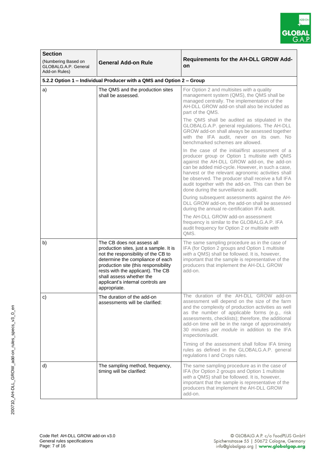

| <b>Section</b><br>(Numbering Based on<br>GLOBALG.A.P. General<br>Add-on Rules) | <b>General Add-on Rule</b>                                                                                                                                                                                                                                                                                    | <b>Requirements for the AH-DLL GROW Add-</b><br>on                                                                                                                                                                                                                                                                                                                                                         |  |  |
|--------------------------------------------------------------------------------|---------------------------------------------------------------------------------------------------------------------------------------------------------------------------------------------------------------------------------------------------------------------------------------------------------------|------------------------------------------------------------------------------------------------------------------------------------------------------------------------------------------------------------------------------------------------------------------------------------------------------------------------------------------------------------------------------------------------------------|--|--|
| 5.2.2 Option 1 - Individual Producer with a QMS and Option 2 - Group           |                                                                                                                                                                                                                                                                                                               |                                                                                                                                                                                                                                                                                                                                                                                                            |  |  |
| a)                                                                             | The QMS and the production sites<br>shall be assessed.                                                                                                                                                                                                                                                        | For Option 2 and multisites with a quality<br>management system (QMS), the QMS shall be<br>managed centrally. The implementation of the<br>AH-DLL GROW add-on shall also be included as<br>part of the QMS.                                                                                                                                                                                                |  |  |
|                                                                                |                                                                                                                                                                                                                                                                                                               | The QMS shall be audited as stipulated in the<br>GLOBALG.A.P. general regulations. The AH-DLL<br>GROW add-on shall always be assessed together<br>with the IFA audit, never on its own. No<br>benchmarked schemes are allowed.                                                                                                                                                                             |  |  |
|                                                                                |                                                                                                                                                                                                                                                                                                               | In the case of the initial/first assessment of a<br>producer group or Option 1 multisite with QMS<br>against the AH-DLL GROW add-on, the add-on<br>can be added mid-cycle. However, in such a case,<br>harvest or the relevant agronomic activities shall<br>be observed. The producer shall receive a full IFA<br>audit together with the add-on. This can then be<br>done during the surveillance audit. |  |  |
|                                                                                |                                                                                                                                                                                                                                                                                                               | During subsequent assessments against the AH-<br>DLL GROW add-on, the add-on shall be assessed<br>during the annual re-certification IFA audit.                                                                                                                                                                                                                                                            |  |  |
|                                                                                |                                                                                                                                                                                                                                                                                                               | The AH-DLL GROW add-on assessment<br>frequency is similar to the GLOBALG.A.P. IFA<br>audit frequency for Option 2 or multisite with<br>QMS.                                                                                                                                                                                                                                                                |  |  |
| b)                                                                             | The CB does not assess all<br>production sites, just a sample. It is<br>not the responsibility of the CB to<br>determine the compliance of each<br>production site (this responsibility<br>rests with the applicant). The CB<br>shall assess whether the<br>applicant's internal controls are<br>appropriate. | The same sampling procedure as in the case of<br>IFA (for Option 2 groups and Option 1 multisite<br>with a QMS) shall be followed. It is, however,<br>important that the sample is representative of the<br>producers that implement the AH-DLL GROW<br>add-on.                                                                                                                                            |  |  |
| c)                                                                             | The duration of the add-on<br>assessments will be clarified:                                                                                                                                                                                                                                                  | The duration of the AH-DLL GROW add-on<br>assessment will depend on the size of the farm<br>and the complexity of production activities as well<br>as the number of applicable forms (e.g., risk<br>assessments, checklists); therefore, the additional<br>add-on time will be in the range of approximately<br>30 minutes per module in addition to the IFA<br>inspection/audit.                          |  |  |
|                                                                                |                                                                                                                                                                                                                                                                                                               | Timing of the assessment shall follow IFA timing<br>rules as defined in the GLOBALG.A.P. general<br>regulations I and Crops rules.                                                                                                                                                                                                                                                                         |  |  |
| d)                                                                             | The sampling method, frequency,<br>timing will be clarified:                                                                                                                                                                                                                                                  | The same sampling procedure as in the case of<br>IFA (for Option 2 groups and Option 1 multisite<br>with a QMS) shall be followed. It is, however,<br>important that the sample is representative of the<br>producers that implement the AH-DLL GROW<br>add-on.                                                                                                                                            |  |  |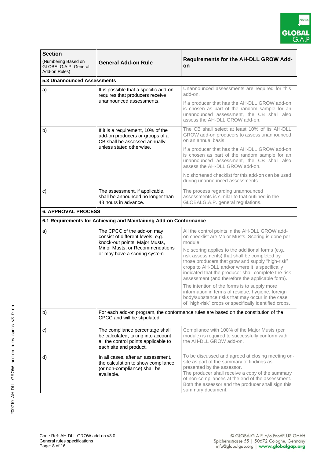

| <b>Section</b>                                                                                                                                                                        |                                                                                                                                                                        |                                                                                                                                                                                                                                                                                                                    |  |  |
|---------------------------------------------------------------------------------------------------------------------------------------------------------------------------------------|------------------------------------------------------------------------------------------------------------------------------------------------------------------------|--------------------------------------------------------------------------------------------------------------------------------------------------------------------------------------------------------------------------------------------------------------------------------------------------------------------|--|--|
| (Numbering Based on<br>GLOBALG.A.P. General<br>Add-on Rules)                                                                                                                          | <b>General Add-on Rule</b>                                                                                                                                             | <b>Requirements for the AH-DLL GROW Add-</b><br>on                                                                                                                                                                                                                                                                 |  |  |
| 5.3 Unannounced Assessments                                                                                                                                                           |                                                                                                                                                                        |                                                                                                                                                                                                                                                                                                                    |  |  |
| a)                                                                                                                                                                                    | It is possible that a specific add-on<br>requires that producers receive                                                                                               | Unannounced assessments are required for this<br>add-on.                                                                                                                                                                                                                                                           |  |  |
|                                                                                                                                                                                       | unannounced assessments.                                                                                                                                               | If a producer that has the AH-DLL GROW add-on<br>is chosen as part of the random sample for an<br>unannounced assessment, the CB shall also<br>assess the AH-DLL GROW add-on.                                                                                                                                      |  |  |
| b)                                                                                                                                                                                    | If it is a requirement, 10% of the<br>add-on producers or groups of a<br>CB shall be assessed annually,<br>unless stated otherwise.                                    | The CB shall select at least 10% of its AH-DLL<br>GROW add-on producers to assess unannounced<br>on an annual basis.                                                                                                                                                                                               |  |  |
|                                                                                                                                                                                       |                                                                                                                                                                        | If a producer that has the AH-DLL GROW add-on<br>is chosen as part of the random sample for an<br>unannounced assessment, the CB shall also<br>assess the AH-DLL GROW add-on.                                                                                                                                      |  |  |
|                                                                                                                                                                                       |                                                                                                                                                                        | No shortened checklist for this add-on can be used<br>during unannounced assessments.                                                                                                                                                                                                                              |  |  |
| $\mathbf{c}$<br>The assessment, if applicable,<br>The process regarding unannounced<br>shall be announced no longer than<br>48 hours in advance.<br>GLOBALG.A.P. general regulations. |                                                                                                                                                                        | assessments is similar to that outlined in the                                                                                                                                                                                                                                                                     |  |  |
| <b>6. APPROVAL PROCESS</b>                                                                                                                                                            |                                                                                                                                                                        |                                                                                                                                                                                                                                                                                                                    |  |  |
|                                                                                                                                                                                       | 6.1 Requirements for Achieving and Maintaining Add-on Conformance                                                                                                      |                                                                                                                                                                                                                                                                                                                    |  |  |
| a)                                                                                                                                                                                    | The CPCC of the add-on may<br>consist of different levels; e.g.,<br>knock-out points, Major Musts,<br>Minor Musts, or Recommendations<br>or may have a scoring system. | All the control points in the AH-DLL GROW add-<br>on checklist are Major Musts. Scoring is done per<br>module.                                                                                                                                                                                                     |  |  |
|                                                                                                                                                                                       |                                                                                                                                                                        | No scoring applies to the additional forms (e.g.,<br>risk assessments) that shall be completed by<br>those producers that grow and supply "high-risk"<br>crops to AH-DLL and/or where it is specifically<br>indicated that the producer shall complete the risk<br>assessment (and therefore the applicable form). |  |  |
|                                                                                                                                                                                       |                                                                                                                                                                        | The intention of the forms is to supply more<br>information in terms of residue, hygiene, foreign<br>body/substance risks that may occur in the case<br>of "high-risk" crops or specifically identified crops.                                                                                                     |  |  |
| b)                                                                                                                                                                                    | CPCC and will be stipulated:                                                                                                                                           | For each add-on program, the conformance rules are based on the constitution of the                                                                                                                                                                                                                                |  |  |
| $\mathbf{c}$                                                                                                                                                                          | The compliance percentage shall<br>be calculated, taking into account<br>all the control points applicable to<br>each site and product.                                | Compliance with 100% of the Major Musts (per<br>module) is required to successfully conform with<br>the AH-DLL GROW add-on.                                                                                                                                                                                        |  |  |
| d)                                                                                                                                                                                    | In all cases, after an assessment,<br>the calculation to show compliance<br>(or non-compliance) shall be<br>available.                                                 | To be discussed and agreed at closing meeting on-<br>site as part of the summary of findings as<br>presented by the assessor.<br>The producer shall receive a copy of the summary<br>of non-compliances at the end of the assessment.<br>Both the assessor and the producer shall sign this<br>summary document.   |  |  |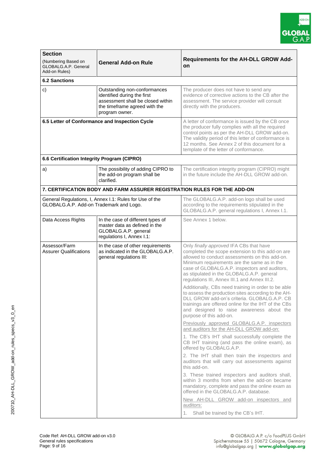

| <b>Section</b>                                                                                     |                                                                                                                                                     |                                                                                                                                                                                                                                                                                                                                             |  |  |
|----------------------------------------------------------------------------------------------------|-----------------------------------------------------------------------------------------------------------------------------------------------------|---------------------------------------------------------------------------------------------------------------------------------------------------------------------------------------------------------------------------------------------------------------------------------------------------------------------------------------------|--|--|
| (Numbering Based on<br><b>General Add-on Rule</b><br>GLOBALG.A.P. General<br>Add-on Rules)         |                                                                                                                                                     | <b>Requirements for the AH-DLL GROW Add-</b><br>on                                                                                                                                                                                                                                                                                          |  |  |
| <b>6.2 Sanctions</b>                                                                               |                                                                                                                                                     |                                                                                                                                                                                                                                                                                                                                             |  |  |
| c)                                                                                                 | Outstanding non-conformances<br>identified during the first<br>assessment shall be closed within<br>the timeframe agreed with the<br>program owner. | The producer does not have to send any<br>evidence of corrective actions to the CB after the<br>assessment. The service provider will consult<br>directly with the producers.                                                                                                                                                               |  |  |
| 6.5 Letter of Conformance and Inspection Cycle                                                     |                                                                                                                                                     | A letter of conformance is issued by the CB once<br>the producer fully complies with all the required<br>control points as per the AH-DLL GROW add-on.<br>The validity period of this letter of conformance is<br>12 months. See Annex 2 of this document for a<br>template of the letter of conformance.                                   |  |  |
| 6.6 Certification Integrity Program (CIPRO)                                                        |                                                                                                                                                     |                                                                                                                                                                                                                                                                                                                                             |  |  |
| a)                                                                                                 | The possibility of adding CIPRO to<br>the add-on program shall be<br>clarified.                                                                     | The certification integrity program (CIPRO) might<br>in the future include the AH-DLL GROW add-on.                                                                                                                                                                                                                                          |  |  |
|                                                                                                    | 7. CERTIFICATION BODY AND FARM ASSURER REGISTRATION RULES FOR THE ADD-ON                                                                            |                                                                                                                                                                                                                                                                                                                                             |  |  |
| General Regulations, I, Annex I.1: Rules for Use of the<br>GLOBALG.A.P. Add-on Trademark and Logo. |                                                                                                                                                     | The GLOBALG.A.P. add-on logo shall be used<br>according to the requirements stipulated in the<br>GLOBALG.A.P. general regulations I, Annex I.1.                                                                                                                                                                                             |  |  |
| Data Access Rights                                                                                 | In the case of different types of<br>master data as defined in the<br>GLOBALG.A.P. general<br>regulations I, Annex I.1:                             | See Annex 1 below.                                                                                                                                                                                                                                                                                                                          |  |  |
| Assessor/Farm<br><b>Assurer Qualifications</b>                                                     | In the case of other requirements<br>as indicated in the GLOBALG.A.P.<br>general regulations III:                                                   | Only finally approved IFA CBs that have<br>completed the scope extension to this add-on are<br>allowed to conduct assessments on this add-on.<br>Minimum requirements are the same as in the<br>case of GLOBALG.A.P. inspectors and auditors,<br>as stipulated in the GLOBALG.A.P. general<br>regulations III, Annex III.1 and Annex III.2. |  |  |
|                                                                                                    |                                                                                                                                                     | Additionally, CBs need training in order to be able<br>to assess the production sites according to the AH-<br>DLL GROW add-on's criteria. GLOBALG.A.P. CB<br>trainings are offered online for the IHT of the CBs<br>and designed to raise awareness about the<br>purpose of this add-on.                                                    |  |  |
|                                                                                                    |                                                                                                                                                     | Previously approved GLOBALG.A.P. inspectors<br>and auditors for the AH-DLL GROW add-on:                                                                                                                                                                                                                                                     |  |  |
|                                                                                                    |                                                                                                                                                     | 1. The CB's IHT shall successfully complete the<br>CB IHT training (and pass the online exam), as<br>offered by GLOBALG.A.P.                                                                                                                                                                                                                |  |  |
|                                                                                                    |                                                                                                                                                     | 2. The IHT shall then train the inspectors and<br>auditors that will carry out assessments against<br>this add-on.                                                                                                                                                                                                                          |  |  |
|                                                                                                    |                                                                                                                                                     | 3. These trained inspectors and auditors shall,<br>within 3 months from when the add-on became<br>mandatory, complete and pass the online exam as<br>offered in the GLOBALG.A.P. database.                                                                                                                                                  |  |  |
|                                                                                                    |                                                                                                                                                     | New AH-DLL GROW add-on inspectors and<br>auditors:<br>Shall be trained by the CB's IHT.<br>1.                                                                                                                                                                                                                                               |  |  |
|                                                                                                    |                                                                                                                                                     |                                                                                                                                                                                                                                                                                                                                             |  |  |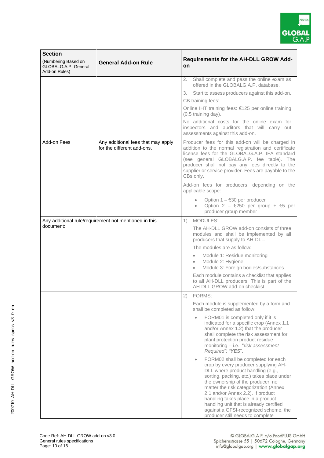

| <b>Section</b><br>(Numbering Based on<br>GLOBALG.A.P. General<br>Add-on Rules) | <b>General Add-on Rule</b>                                       | <b>Requirements for the AH-DLL GROW Add-</b><br>on.                                                                                                                                                                                                                                                                                                                                                                                                                                                                                                                                                                                                                                                                                                                                                                       |  |  |
|--------------------------------------------------------------------------------|------------------------------------------------------------------|---------------------------------------------------------------------------------------------------------------------------------------------------------------------------------------------------------------------------------------------------------------------------------------------------------------------------------------------------------------------------------------------------------------------------------------------------------------------------------------------------------------------------------------------------------------------------------------------------------------------------------------------------------------------------------------------------------------------------------------------------------------------------------------------------------------------------|--|--|
|                                                                                |                                                                  | Shall complete and pass the online exam as<br>2.<br>offered in the GLOBALG.A.P. database.<br>Start to assess producers against this add-on.<br>3.<br>CB training fees:<br>Online IHT training fees: €125 per online training<br>(0.5 training day).<br>No additional costs for the online exam for<br>inspectors and auditors that will carry out<br>assessments against this add-on.                                                                                                                                                                                                                                                                                                                                                                                                                                     |  |  |
| Add-on Fees                                                                    | Any additional fees that may apply<br>for the different add-ons. | Producer fees for this add-on will be charged in<br>addition to the normal registration and certificate<br>license fees for the GLOBALG.A.P. IFA standard<br>(see general GLOBALG.A.P. fee table). The<br>producer shall not pay any fees directly to the<br>supplier or service provider. Fees are payable to the<br>CBs only.<br>Add-on fees for producers, depending on the<br>applicable scope:                                                                                                                                                                                                                                                                                                                                                                                                                       |  |  |
|                                                                                |                                                                  | Option $1 - 630$ per producer<br>Option 2 - $\epsilon$ 250 per group + $\epsilon$ 5 per<br>$\bullet$<br>producer group member                                                                                                                                                                                                                                                                                                                                                                                                                                                                                                                                                                                                                                                                                             |  |  |
| document:                                                                      | Any additional rule/requirement not mentioned in this            | 1)<br>MODULES:<br>The AH-DLL GROW add-on consists of three<br>modules and shall be implemented by all<br>producers that supply to AH-DLL.<br>The modules are as follow:<br>Module 1: Residue monitoring<br>$\bullet$<br>Module 2: Hygiene<br>$\bullet$<br>Module 3: Foreign bodies/substances<br>$\bullet$<br>Each module contains a checklist that applies<br>to all AH-DLL producers. This is part of the<br>AH-DLL GROW add-on checklist.                                                                                                                                                                                                                                                                                                                                                                              |  |  |
|                                                                                |                                                                  | 2)<br>FORMS:<br>Each module is supplemented by a form and<br>shall be completed as follow:<br>FORM01 is completed only if it is<br>indicated for a specific crop (Annex 1.1<br>and/or Annex 1.2) that the producer<br>shall complete the risk assessment for<br>plant protection product residue<br>monitoring - i.e., "risk assessment<br>Required": "YES".<br>FORM02 shall be completed for each<br>$\bullet$<br>crop by every producer supplying AH-<br>DLL where product handling (e.g.,<br>sorting, packing, etc.) takes place under<br>the ownership of the producer, no<br>matter the risk categorization (Annex<br>2.1 and/or Annex 2.2). If product<br>handling takes place in a product<br>handling unit that is already certified<br>against a GFSI-recognized scheme, the<br>producer still needs to complete |  |  |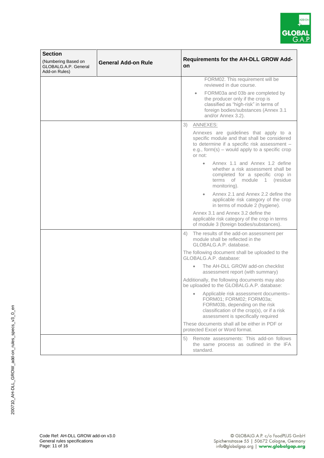

| <b>Section</b>                                               |                            |                                                                                                                                                                                                       |  |
|--------------------------------------------------------------|----------------------------|-------------------------------------------------------------------------------------------------------------------------------------------------------------------------------------------------------|--|
| (Numbering Based on<br>GLOBALG.A.P. General<br>Add-on Rules) | <b>General Add-on Rule</b> | <b>Requirements for the AH-DLL GROW Add-</b><br>on                                                                                                                                                    |  |
|                                                              |                            | FORM02. This requirement will be<br>reviewed in due course.                                                                                                                                           |  |
|                                                              |                            | FORM03a and 03b are completed by<br>$\bullet$<br>the producer only if the crop is<br>classified as "high-risk" in terms of<br>foreign bodies/substances (Annex 3.1<br>and/or Annex 3.2).              |  |
|                                                              |                            | 3)<br>ANNEXES:                                                                                                                                                                                        |  |
|                                                              |                            | Annexes are guidelines that apply to a<br>specific module and that shall be considered<br>to determine if a specific risk assessment -<br>e.g., form(s) $-$ would apply to a specific crop<br>or not: |  |
|                                                              |                            | Annex 1.1 and Annex 1.2 define<br>whether a risk assessment shall be<br>completed for a specific crop in<br>terms of module 1 (residue<br>monitoring).                                                |  |
|                                                              |                            | Annex 2.1 and Annex 2.2 define the<br>$\bullet$<br>applicable risk category of the crop<br>in terms of module 2 (hygiene).                                                                            |  |
|                                                              |                            | Annex 3.1 and Annex 3.2 define the<br>applicable risk category of the crop in terms<br>of module 3 (foreign bodies/substances).                                                                       |  |
|                                                              |                            | The results of the add-on assessment per<br>4)<br>module shall be reflected in the<br>GLOBALG.A.P. database.                                                                                          |  |
|                                                              |                            | The following document shall be uploaded to the<br>GLOBALG.A.P. database:                                                                                                                             |  |
|                                                              |                            | The AH-DLL GROW add-on checklist<br>$\bullet$<br>assessment report (with summary)                                                                                                                     |  |
|                                                              |                            | Additionally, the following documents may also<br>be uploaded to the GLOBALG.A.P. database:                                                                                                           |  |
|                                                              |                            | Applicable risk assessment documents-<br>FORM01; FORM02; FORM03a;<br>FORM03b, depending on the risk<br>classification of the crop(s), or if a risk<br>assessment is specifically required             |  |
|                                                              |                            | These documents shall all be either in PDF or<br>protected Excel or Word format.                                                                                                                      |  |
|                                                              |                            | Remote assessments: This add-on follows<br>5)<br>the same process as outlined in the IFA<br>standard.                                                                                                 |  |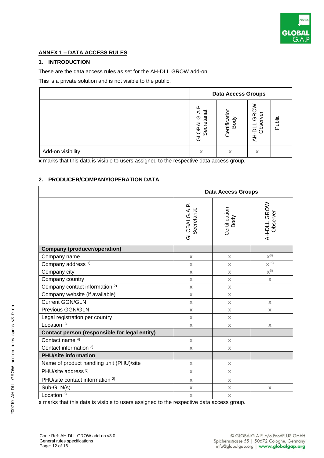

#### **ANNEX 1 – DATA ACCESS RULES**

#### **1. INTRODUCTION**

These are the data access rules as set for the AH-DLL GROW add-on.

This is a private solution and is not visible to the public.

|                   | <b>Data Access Groups</b>           |                       |                           |        |
|-------------------|-------------------------------------|-----------------------|---------------------------|--------|
|                   | ಠ<br>etar<br>(ŋ<br>Secr<br>OB,<br>ত | Certification<br>Body | GRO<br>ত<br>Obse<br>$-51$ | Public |
| Add-on visibility | х                                   | X                     | X                         |        |

**x** marks that this data is visible to users assigned to the respective data access group.

#### **2. PRODUCER/COMPANY/OPERATION DATA**

|                                               | <b>Data Access Groups</b>  |                       |                         |
|-----------------------------------------------|----------------------------|-----------------------|-------------------------|
|                                               | GLOBALG.A.P<br>Secretariat | Certification<br>Body | AH-DLL GROW<br>Observer |
| <b>Company (producer/operation)</b>           |                            |                       |                         |
| Company name                                  | $\mathbf x$                | $\mathbf x$           | $\mathbf{X}^{(6)}$      |
| Company address <sup>1)</sup>                 | $\mathsf{X}$               | $\mathsf{X}$          | $\times$ 6)             |
| Company city                                  | $\mathbf x$                | $\mathsf{X}$          | $X^{\left(5\right)}$    |
| Company country                               | $\mathsf{X}$               | $\mathbf x$           | $\mathbf{x}$            |
| Company contact information <sup>2)</sup>     | $\mathbf x$                | $\mathbf x$           |                         |
| Company website (if available)                | $\mathbf x$                | $\mathsf{X}$          |                         |
| <b>Current GGN/GLN</b>                        | $\mathsf{X}$               | $\mathsf{X}$          | $\mathbf{x}$            |
| Previous GGN/GLN                              | $\mathbf x$                | $\mathbf x$           | $\mathbf X$             |
| Legal registration per country                | $\mathbf x$                | $\mathsf{X}$          |                         |
| Location $3$ )                                | $\mathbf x$                | $\mathbf x$           | $\mathbb X$             |
| Contact person (responsible for legal entity) |                            |                       |                         |
| Contact name <sup>4)</sup>                    | $\mathsf{X}$               | $\mathsf{X}$          |                         |
| Contact information <sup>2)</sup>             | $\mathbf x$                | $\mathbf x$           |                         |
| <b>PHU/site information</b>                   |                            |                       |                         |
| Name of product handling unit (PHU)/site      | $\mathbf x$                | $\mathsf{X}$          |                         |
| PHU/site address <sup>5)</sup>                | $\mathsf{X}$               | $\mathsf{X}$          |                         |
| PHU/site contact information <sup>2)</sup>    | $\mathbf x$                | $\mathbf x$           |                         |
| Sub-GLN(s)                                    | $\mathbf x$                | $\mathbf x$           | $\mathbf x$             |
| Location $3)$                                 | $\mathbb X$                | $\mathbb X$           |                         |

**x** marks that this data is visible to users assigned to the respective data access group.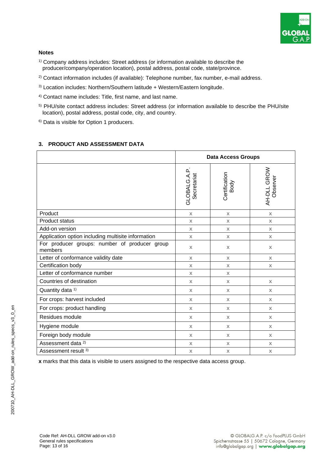

#### **Notes**

- 1) Company address includes: Street address (or information available to describe the producer/company/operation location), postal address, postal code, state/province.
- <sup>2)</sup> Contact information includes (if available): Telephone number, fax number, e-mail address.
- 3) Location includes: Northern/Southern latitude + Western/Eastern longitude.
- 4) Contact name includes: Title, first name, and last name.
- 5) PHU/site contact address includes: Street address (or information available to describe the PHU/site location), postal address, postal code, city, and country.
- 6) Data is visible for Option 1 producers.

#### **3. PRODUCT AND ASSESSMENT DATA**

|                                                          | <b>Data Access Groups</b>   |                       |                         |
|----------------------------------------------------------|-----------------------------|-----------------------|-------------------------|
|                                                          | GLOBALG.A.P.<br>Secretariat | Certification<br>Body | AH-DLL GROW<br>Observer |
| Product                                                  | $\mathbf x$                 | $\mathbf x$           | $\mathbf x$             |
| <b>Product status</b>                                    | $\mathbf x$                 | $\mathbf x$           | $\mathbf x$             |
| Add-on version                                           | $\mathbf x$                 | $\mathbf x$           | $\mathbf x$             |
| Application option including multisite information       | $\mathbf x$                 | $\mathsf{X}$          | $\mathbf x$             |
| For producer groups: number of producer group<br>members | $\mathsf{X}$                | $\mathsf{X}$          | $\mathbf x$             |
| Letter of conformance validity date                      | $\mathbf x$                 | $\mathbf x$           | $\mathbf x$             |
| Certification body                                       | $\mathbf{x}$                | $\mathbf x$           | $\mathsf{X}$            |
| Letter of conformance number                             | $\mathbb X$                 | $\mathbf x$           |                         |
| Countries of destination                                 | $\mathsf{X}$                | $\mathbf{x}$          | $\mathsf{X}$            |
| Quantity data <sup>1)</sup>                              | $\mathbf x$                 | $\mathbf{x}$          | $\mathbf x$             |
| For crops: harvest included                              | $\mathsf{X}$                | $\mathbf x$           | $\mathsf{X}$            |
| For crops: product handling                              | $\mathbf{x}$                | $\mathbf{x}$          | $\mathbf x$             |
| Residues module                                          | $\mathsf{X}$                | $\mathbf{x}$          | $\mathsf{X}$            |
| Hygiene module                                           | $\mathbf{x}$                | $\mathbf x$           | $\mathbf x$             |
| Foreign body module                                      | $\mathbf{x}$                | $\mathbf{x}$          | $\mathbf x$             |
| Assessment data <sup>2)</sup>                            | $\mathbf x$                 | $\mathbf x$           | $\mathsf{X}$            |
| Assessment result 3)                                     | $\mathbf x$                 | $\mathbf x$           | $\mathbb X$             |

**x** marks that this data is visible to users assigned to the respective data access group.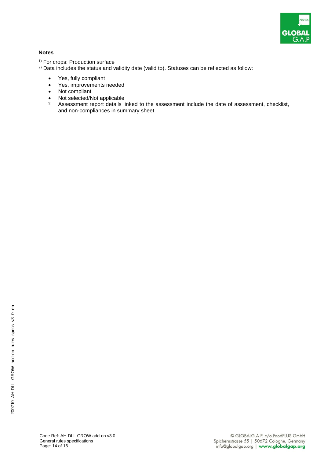

#### **Notes**

<sup>1)</sup> For crops: Production surface

- <sup>2)</sup> Data includes the status and validity date (valid to). Statuses can be reflected as follow:
	- Yes, fully compliant
	- Yes, improvements needed
	- Not compliant
	- Not selected/Not applicable
	- INOT Selected/INOT applicable<br>3) Assessment report details linked to the assessment include the date of assessment, checklist, and non-compliances in summary sheet.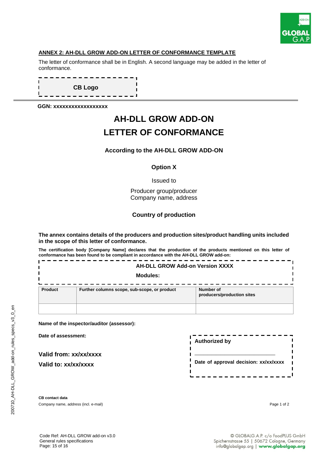

#### **ANNEX 2: AH-DLL GROW ADD-ON LETTER OF CONFORMANCE TEMPLATE**

The letter of conformance shall be in English. A second language may be added in the letter of conformance.

n **CB Logo** -------

**GGN: xxxxxxxxxxxxxxxxxx**

## **AH-DLL GROW ADD-ON LETTER OF CONFORMANCE**

#### **According to the AH-DLL GROW ADD-ON**

#### **Option X**

Issued to

Producer group/producer Company name, address

#### **Country of production**

**The annex contains details of the producers and production sites/product handling units included in the scope of this letter of conformance.**

**The certification body [Company Name] declares that the production of the products mentioned on this letter of conformance has been found to be compliant in accordance with the AH-DLL GROW add-on:** 

| <b>AH-DLL GROW Add-on Version XXXX</b> |                                              |                                         |
|----------------------------------------|----------------------------------------------|-----------------------------------------|
| Modules:                               |                                              |                                         |
| Product                                | Further columns scope, sub-scope, or product | Number of<br>producers/production sites |
|                                        |                                              |                                         |

**Name of the inspector/auditor (assessor):** 

**Date of assessment:** 

**Valid from: xx/xx/xxxx**

**Valid to: xx/xx/xxxx**

| <b>Authorized by</b>                  |  |
|---------------------------------------|--|
| Date of approval decision: xx/xx/xxxx |  |

**CB contact data** Company name, address (incl. e-mail) Page 1 of 2